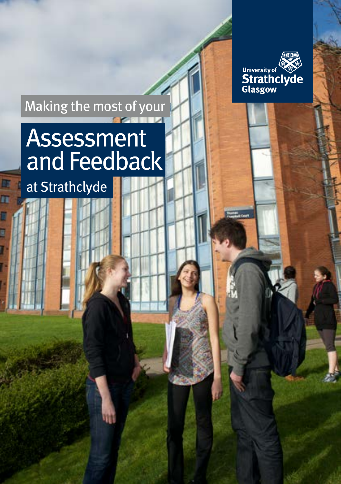

## Making the most of your

## **Assessment** and Feedback

at Strathclyde

B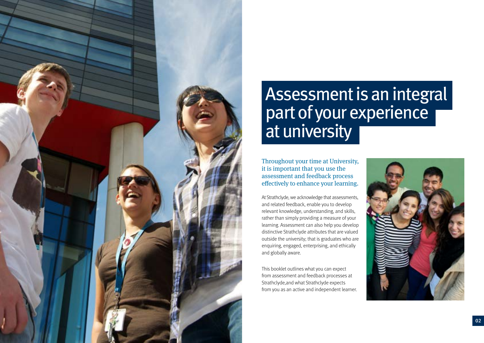

# Assessment is an integral part of your experience at university

Throughout your time at University, it is important that you use the assessment and feedback process effectively to enhance your learning.

At Strathclyde, we acknowledge that assessments, and related feedback, enable you to develop relevant knowledge, understanding, and skills, rather than simply providing a measure of your learning. Assessment can also help you develop distinctive Strathclyde attributes that are valued outside the university; that is graduates who are enquiring, engaged, enterprising, and ethically and globally aware.

This booklet outlines what you can expect from assessment and feedback processes at Strathclyde,and what Strathclyde expects from you as an active and independent learner.

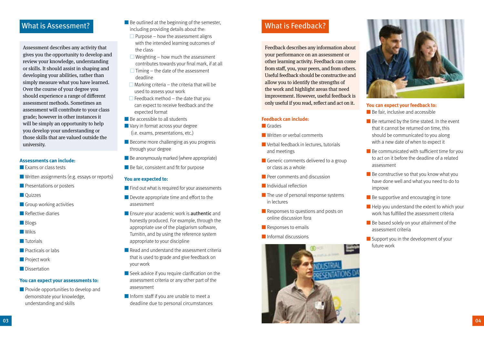### What is Assessment?

Assessment describes any activity that gives you the opportunity to develop and review your knowledge, understanding or skills. It should assist in shaping and developing your abilities, rather than simply measure what you have learned. Over the course of your degree you should experience a range of different assessment methods. Sometimes an assessment will contribute to your class grade; however in other instances it will be simply an opportunity to help you develop your understanding or those skills that are valued outside the university.

#### **Assessments can include:**

- Exams or class tests
- Written assignments (e.g. essays or reports)
- Presentations or posters
- Quizzes
- Group working activities
- Reflective diaries
- Blogs
- Wikis
- Tutorials
- Practicals or labs
- Project work
- Dissertation

#### **You can expect your assessments to:**

■ Provide opportunities to develop and demonstrate your knowledge, understanding and skills

- Be outlined at the beginning of the semester, including providing details about the:
	- $\Box$  Purpose how the assessment aligns with the intended learning outcomes of the class
- $\Box$  Weighting how much the assessment
- contributes towards your final mark, if at all
- $\Box$  Timing the date of the assessment deadline
- $\Box$  Marking criteria the criteria that will be used to assess your work
- $\Box$  Feedback method the date that you can expect to receive feedback and the expected format
- Be accessible to all students
- Vary in format across your degree (i.e. exams, presentations, etc.)
- Become more challenging as you progress through your degree
- Be anonymously marked (where appropriate)
- Be fair, consistent and fit for purpose

#### **You are expected to:**

- Find out what is required for your assessments
- Devote appropriate time and effort to the assessment
- Ensure your academic work is **authentic** and honestly produced. For example, through the appropriate use of the plagiarism software, Turnitin, and by using the reference system appropriate to your discipline
- Read and understand the assessment criteria that is used to grade and give feedback on your work
- Seek advice if you require clarification on the assessment criteria or any other part of the assessment
- Inform staff if you are unable to meet a deadline due to personal circumstances

## What is Feedback?

Feedback describes any information about your performance on an assessment or other learning activity. Feedback can come from staff, you, your peers, and from others. Useful feedback should be constructive and allow you to identify the strengths of the work and highlight areas that need improvement. However, useful feedback is only useful if you read, reflect and act on it.

#### **Feedback can include:**

- Grades
- Written or verbal comments
- Verbal feedback in lectures, tutorials and meetings
- Generic comments delivered to a group or class as a whole
- **D** Peer comments and discussion
- Individual reflection
- The use of personal response systems in lectures
- Responses to questions and posts on online discussion fora
- Responses to emails
- Informal discussions





#### **You can expect your feedback to:** ■ Be fair, inclusive and accessible

- 
- Be returned by the time stated. In the event that it cannot be returned on time, this should be communicated to you along with a new date of when to expect it
- Be communicated with sufficient time for you to act on it before the deadline of a related assessment
- Be constructive so that you know what you have done well and what you need to do to improve
- Be supportive and encouraging in tone
- Help you understand the extent to which your work has fulfilled the assessment criteria
- Be based solely on your attainment of the assessment criteria
- Support you in the development of your future work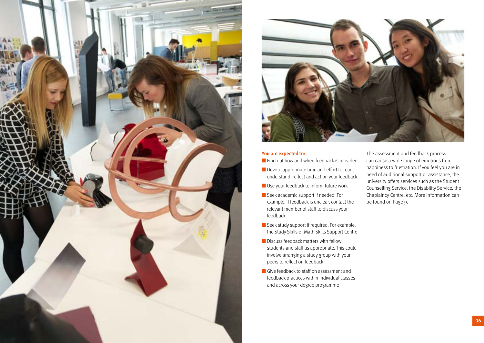



#### **You are expected to:**

- Find out how and when feedback is provided
- Devote appropriate time and effort to read, understand, reflect and act on your feedback
- Use your feedback to inform future work
- Seek academic support if needed. For example, if feedback is unclear, contact the relevant member of staff to discuss your feedback
- Seek study support if required. For example, the Study Skills or Math Skills Support Centre
- Discuss feedback matters with fellow students and staff as appropriate. This could involve arranging a study group with your peers to reflect on feedback
- Give feedback to staff on assessment and feedback practices within individual classes and across your degree programme

The assessment and feedback process can cause a wide range of emotions from happiness to frustration. If you feel you are in need of additional support or assistance, the university offers services such as the Student Counselling Service, the Disability Service, the Chaplaincy Centre, etc. More information can be found on Page 9.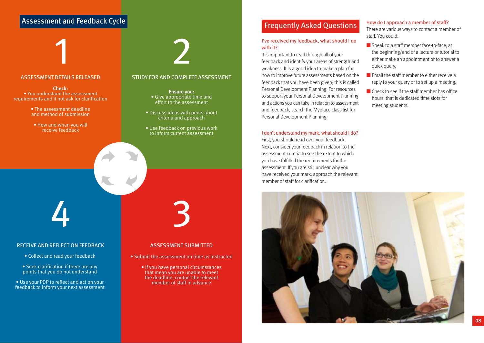## **Assessment and Feedback Cycle**



**Check:** • You understand the assessment requirements and if not ask for clarification

- The assessment deadline and method of submission
- How and when you will receive feedback

#### STUDY FOR AND COMPLETE ASSESSMENT

**Ensure you:** • Give appropriate time and effort to the assessment

- Discuss ideas with peers about criteria and approach
- Use feedback on previous work to inform current assessment

RECEIVE AND REFLECT ON FEEDBACK

- Collect and read your feedback
- Seek clarification if there are any points that you do not understand

• Use your PDP to reflect and act on your feedback to inform your next assessment

#### ASSESSMENT SUBMITTED

- Submit the assessment on time as instructed
	- If you have personal circumstances that mean you are unable to meet the deadline, contact the relevant member of staff in advance

### Frequently Asked Questions

#### I've received my feedback, what should I do with it?

It is important to read through all of your feedback and identify your areas of strength and weakness. It is a good idea to make a plan for how to improve future assessments based on the feedback that you have been given; this is called Personal Development Planning. For resources to support your Personal Development Planning and actions you can take in relation to assessment and feedback, search the Myplace class list for Personal Development Planning.

#### I don't understand my mark, what should I do?

First, you should read over your feedback. Next, consider your feedback in relation to the assessment criteria to see the extent to which you have fulfilled the requirements for the assessment. If you are still unclear why you have received your mark, approach the relevant member of staff for clarification.

#### How do I approach a member of staff?

There are various ways to contact a member of staff. You could:

- Speak to a staff member face-to-face, at the beginning/end of a lecture or tutorial to either make an appointment or to answer a quick query.
- Email the staff member to either receive a reply to your query or to set up a meeting.
- Check to see if the staff member has office hours, that is dedicated time slots for meeting students.

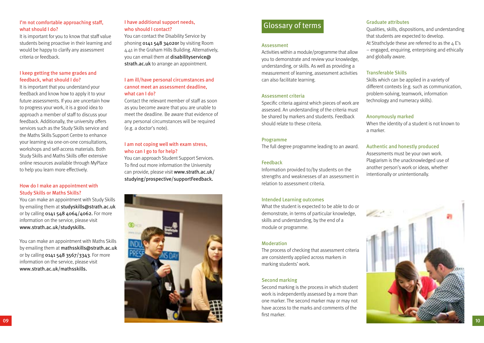#### I'm not comfortable approaching staff, what should I do?

It is important for you to know that staff value students being proactive in their learning and would be happy to clarify any assessment criteria or feedback.

#### I keep getting the same grades and feedback, what should I do?

It is important that you understand your feedback and know how to apply it to your future assessments. If you are uncertain how to progress your work, it is a good idea to approach a member of staff to discuss your feedback. Additionally, the university offers services such as the Study Skills service and the Maths Skills Support Centre to enhance your learning via one-on-one consultations, workshops and self-access materials. Both Study Skills and Maths Skills offer extensive online resources available through MyPlace to help you learn more effectively.

#### How do I make an appointment with Study Skills or Maths Skills?

You can make an appointment with Study Skills by emailing them at studyskills@strath.ac.uk or by calling 0141 548 4064/4062. For more information on the service, please visit www.strath.ac.uk/studyskills.

You can make an appointment with Maths Skills by emailing them at mathsskills@strath.ac.uk or by calling 0141 548 3567/3343. For more information on the service, please visit www.strath.ac.uk/mathsskills.

#### I have additional support needs, who should I contact?

You can contact the Disability Service by phoning 0141 548 3402or by visiting Room 4.41 in the Graham Hills Building. Alternatively, you can email them at disabilityservice@ strath.ac.uk to arrange an appointment.

#### I am ill/have personal circumstances and cannot meet an assessment deadline, what can I do?

Contact the relevant member of staff as soon as you become aware that you are unable to meet the deadline. Be aware that evidence of any personal circumstances will be required (e.g. a doctor's note).

#### I am not coping well with exam stress, who can I go to for help?

You can approach Student Support Services. To find out more information the University can provide, please visit www.strath.ac.uk/ studying/prospective/supportFeedback.



## Glossary of terms

#### Assessment

Activities within a module/programme that allow you to demonstrate and review your knowledge, understanding, or skills. As well as providing a measurement of learning, assessment activities can also facilitate learning.

#### Assessment criteria

Specific criteria against which pieces of work are assessed. An understanding of the criteria must be shared by markers and students. Feedback should relate to these criteria.

#### Programme

The full degree programme leading to an award.

#### Feedback

Information provided to/by students on the strengths and weaknesses of an assessment in relation to assessment criteria.

#### Intended Learning outcomes

What the student is expected to be able to do or demonstrate, in terms of particular knowledge, skills and understanding, by the end of a module or programme.

#### Moderation

The process of checking that assessment criteria are consistently applied across markers in marking students' work.

#### Second marking

Second marking is the process in which student work is independently assessed by a more than one marker. The second marker may or may not have access to the marks and comments of the first marker.

#### Graduate attributes

Qualities, skills, dispositions, and understanding that students are expected to develop. At Strathclyde these are referred to as the  $4 E's$ – engaged, enquiring, enterprising and ethically and globally aware.

#### Transferable Skills

Skills which can be applied in a variety of different contexts (e.g. such as communication, problem-solving, teamwork, information technology and numeracy skills).

#### Anonymously marked

When the identity of a student is not known to a marker.

#### Authentic and honestly produced

Assessments must be your own work. Plagiarism is the unacknowledged use of another person's work or ideas, whether intentionally or unintentionally.